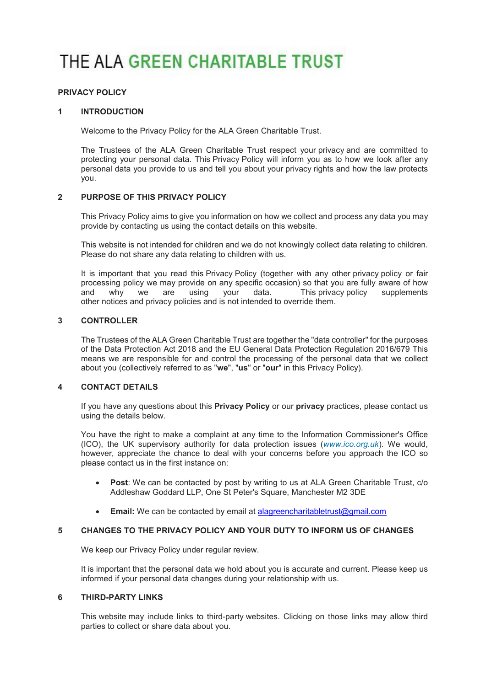# THE ALA GREEN CHARITABLE TRUST

# **PRIVACY POLICY**

# **1 INTRODUCTION**

Welcome to the Privacy Policy for the ALA Green Charitable Trust.

The Trustees of the ALA Green Charitable Trust respect your privacy and are committed to protecting your personal data. This Privacy Policy will inform you as to how we look after any personal data you provide to us and tell you about your privacy rights and how the law protects you.

# **2 PURPOSE OF THIS PRIVACY POLICY**

This Privacy Policy aims to give you information on how we collect and process any data you may provide by contacting us using the contact details on this website.

This website is not intended for children and we do not knowingly collect data relating to children. Please do not share any data relating to children with us.

It is important that you read this Privacy Policy (together with any other privacy policy or fair processing policy we may provide on any specific occasion) so that you are fully aware of how and why we are using your data. This privacy policy supplements other notices and privacy policies and is not intended to override them.

## **3 CONTROLLER**

The Trustees of the ALA Green Charitable Trust are together the "data controller" for the purposes of the Data Protection Act 2018 and the EU General Data Protection Regulation 2016/679 This means we are responsible for and control the processing of the personal data that we collect about you (collectively referred to as "**we**", "**us**" or "**our**" in this Privacy Policy).

## **4 CONTACT DETAILS**

If you have any questions about this **Privacy Policy** or our **privacy** practices, please contact us using the details below.

You have the right to make a complaint at any time to the Information Commissioner's Office (ICO), the UK supervisory authority for data protection issues (*www.ico.org.uk*). We would, however, appreciate the chance to deal with your concerns before you approach the ICO so please contact us in the first instance on:

- **Post**: We can be contacted by post by writing to us at ALA Green Charitable Trust, c/o Addleshaw Goddard LLP, One St Peter's Square, Manchester M2 3DE
- **Email:** We can be contacted by email at alagreencharitabletrust@gmail.com

# **5 CHANGES TO THE PRIVACY POLICY AND YOUR DUTY TO INFORM US OF CHANGES**

We keep our Privacy Policy under regular review.

It is important that the personal data we hold about you is accurate and current. Please keep us informed if your personal data changes during your relationship with us.

## **6 THIRD-PARTY LINKS**

This website may include links to third-party websites. Clicking on those links may allow third parties to collect or share data about you.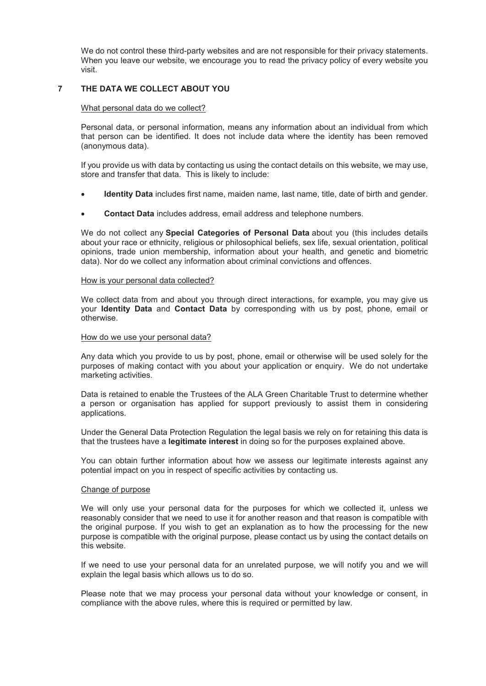We do not control these third-party websites and are not responsible for their privacy statements. When you leave our website, we encourage you to read the privacy policy of every website you visit.

# **7 THE DATA WE COLLECT ABOUT YOU**

### What personal data do we collect?

Personal data, or personal information, means any information about an individual from which that person can be identified. It does not include data where the identity has been removed (anonymous data).

If you provide us with data by contacting us using the contact details on this website, we may use, store and transfer that data. This is likely to include:

- **Identity Data** includes first name, maiden name, last name, title, date of birth and gender.
- **Contact Data** includes address, email address and telephone numbers.

We do not collect any **Special Categories of Personal Data** about you (this includes details about your race or ethnicity, religious or philosophical beliefs, sex life, sexual orientation, political opinions, trade union membership, information about your health, and genetic and biometric data). Nor do we collect any information about criminal convictions and offences.

#### How is your personal data collected?

We collect data from and about you through direct interactions, for example, you may give us your **Identity Data** and **Contact Data** by corresponding with us by post, phone, email or otherwise.

#### How do we use your personal data?

Any data which you provide to us by post, phone, email or otherwise will be used solely for the purposes of making contact with you about your application or enquiry. We do not undertake marketing activities.

Data is retained to enable the Trustees of the ALA Green Charitable Trust to determine whether a person or organisation has applied for support previously to assist them in considering applications.

Under the General Data Protection Regulation the legal basis we rely on for retaining this data is that the trustees have a **legitimate interest** in doing so for the purposes explained above.

You can obtain further information about how we assess our legitimate interests against any potential impact on you in respect of specific activities by contacting us.

## Change of purpose

We will only use your personal data for the purposes for which we collected it, unless we reasonably consider that we need to use it for another reason and that reason is compatible with the original purpose. If you wish to get an explanation as to how the processing for the new purpose is compatible with the original purpose, please contact us by using the contact details on this website.

If we need to use your personal data for an unrelated purpose, we will notify you and we will explain the legal basis which allows us to do so.

Please note that we may process your personal data without your knowledge or consent, in compliance with the above rules, where this is required or permitted by law.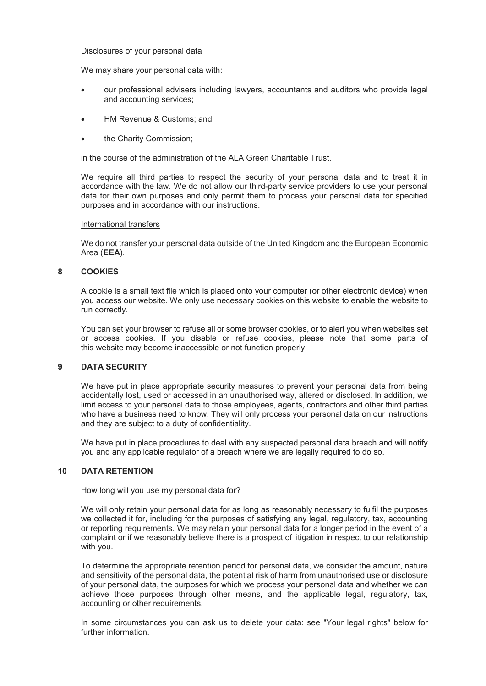#### Disclosures of your personal data

We may share your personal data with:

- our professional advisers including lawyers, accountants and auditors who provide legal and accounting services;
- HM Revenue & Customs; and
- the Charity Commission;

in the course of the administration of the ALA Green Charitable Trust.

We require all third parties to respect the security of your personal data and to treat it in accordance with the law. We do not allow our third-party service providers to use your personal data for their own purposes and only permit them to process your personal data for specified purposes and in accordance with our instructions.

#### International transfers

We do not transfer your personal data outside of the United Kingdom and the European Economic Area (**EEA**).

## **8 COOKIES**

A cookie is a small text file which is placed onto your computer (or other electronic device) when you access our website. We only use necessary cookies on this website to enable the website to run correctly.

You can set your browser to refuse all or some browser cookies, or to alert you when websites set or access cookies. If you disable or refuse cookies, please note that some parts of this website may become inaccessible or not function properly.

# **9 DATA SECURITY**

We have put in place appropriate security measures to prevent your personal data from being accidentally lost, used or accessed in an unauthorised way, altered or disclosed. In addition, we limit access to your personal data to those employees, agents, contractors and other third parties who have a business need to know. They will only process your personal data on our instructions and they are subject to a duty of confidentiality.

We have put in place procedures to deal with any suspected personal data breach and will notify you and any applicable regulator of a breach where we are legally required to do so.

## **10 DATA RETENTION**

## How long will you use my personal data for?

We will only retain your personal data for as long as reasonably necessary to fulfil the purposes we collected it for, including for the purposes of satisfying any legal, regulatory, tax, accounting or reporting requirements. We may retain your personal data for a longer period in the event of a complaint or if we reasonably believe there is a prospect of litigation in respect to our relationship with you.

To determine the appropriate retention period for personal data, we consider the amount, nature and sensitivity of the personal data, the potential risk of harm from unauthorised use or disclosure of your personal data, the purposes for which we process your personal data and whether we can achieve those purposes through other means, and the applicable legal, regulatory, tax, accounting or other requirements.

In some circumstances you can ask us to delete your data: see "Your legal rights" below for further information.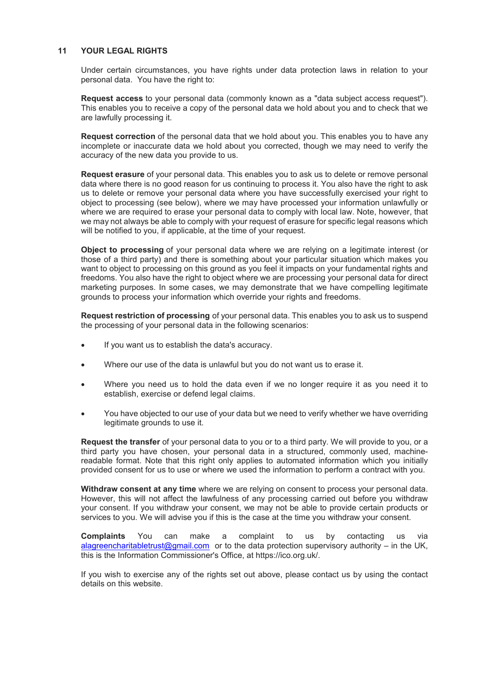## **11 YOUR LEGAL RIGHTS**

Under certain circumstances, you have rights under data protection laws in relation to your personal data. You have the right to:

**Request access** to your personal data (commonly known as a "data subject access request"). This enables you to receive a copy of the personal data we hold about you and to check that we are lawfully processing it.

**Request correction** of the personal data that we hold about you. This enables you to have any incomplete or inaccurate data we hold about you corrected, though we may need to verify the accuracy of the new data you provide to us.

**Request erasure** of your personal data. This enables you to ask us to delete or remove personal data where there is no good reason for us continuing to process it. You also have the right to ask us to delete or remove your personal data where you have successfully exercised your right to object to processing (see below), where we may have processed your information unlawfully or where we are required to erase your personal data to comply with local law. Note, however, that we may not always be able to comply with your request of erasure for specific legal reasons which will be notified to you, if applicable, at the time of your request.

**Object to processing** of your personal data where we are relying on a legitimate interest (or those of a third party) and there is something about your particular situation which makes you want to object to processing on this ground as you feel it impacts on your fundamental rights and freedoms. You also have the right to object where we are processing your personal data for direct marketing purposes. In some cases, we may demonstrate that we have compelling legitimate grounds to process your information which override your rights and freedoms.

**Request restriction of processing** of your personal data. This enables you to ask us to suspend the processing of your personal data in the following scenarios:

- If you want us to establish the data's accuracy.
- Where our use of the data is unlawful but you do not want us to erase it.
- Where you need us to hold the data even if we no longer require it as you need it to establish, exercise or defend legal claims.
- You have objected to our use of your data but we need to verify whether we have overriding legitimate grounds to use it.

**Request the transfer** of your personal data to you or to a third party. We will provide to you, or a third party you have chosen, your personal data in a structured, commonly used, machinereadable format. Note that this right only applies to automated information which you initially provided consent for us to use or where we used the information to perform a contract with you.

**Withdraw consent at any time** where we are relying on consent to process your personal data. However, this will not affect the lawfulness of any processing carried out before you withdraw your consent. If you withdraw your consent, we may not be able to provide certain products or services to you. We will advise you if this is the case at the time you withdraw your consent.

**Complaints** You can make a complaint to us by contacting us via alagreencharitabletrust@gmail.com or to the data protection supervisory authority – in the UK, this is the Information Commissioner's Office, at https://ico.org.uk/.

If you wish to exercise any of the rights set out above, please contact us by using the contact details on this website.